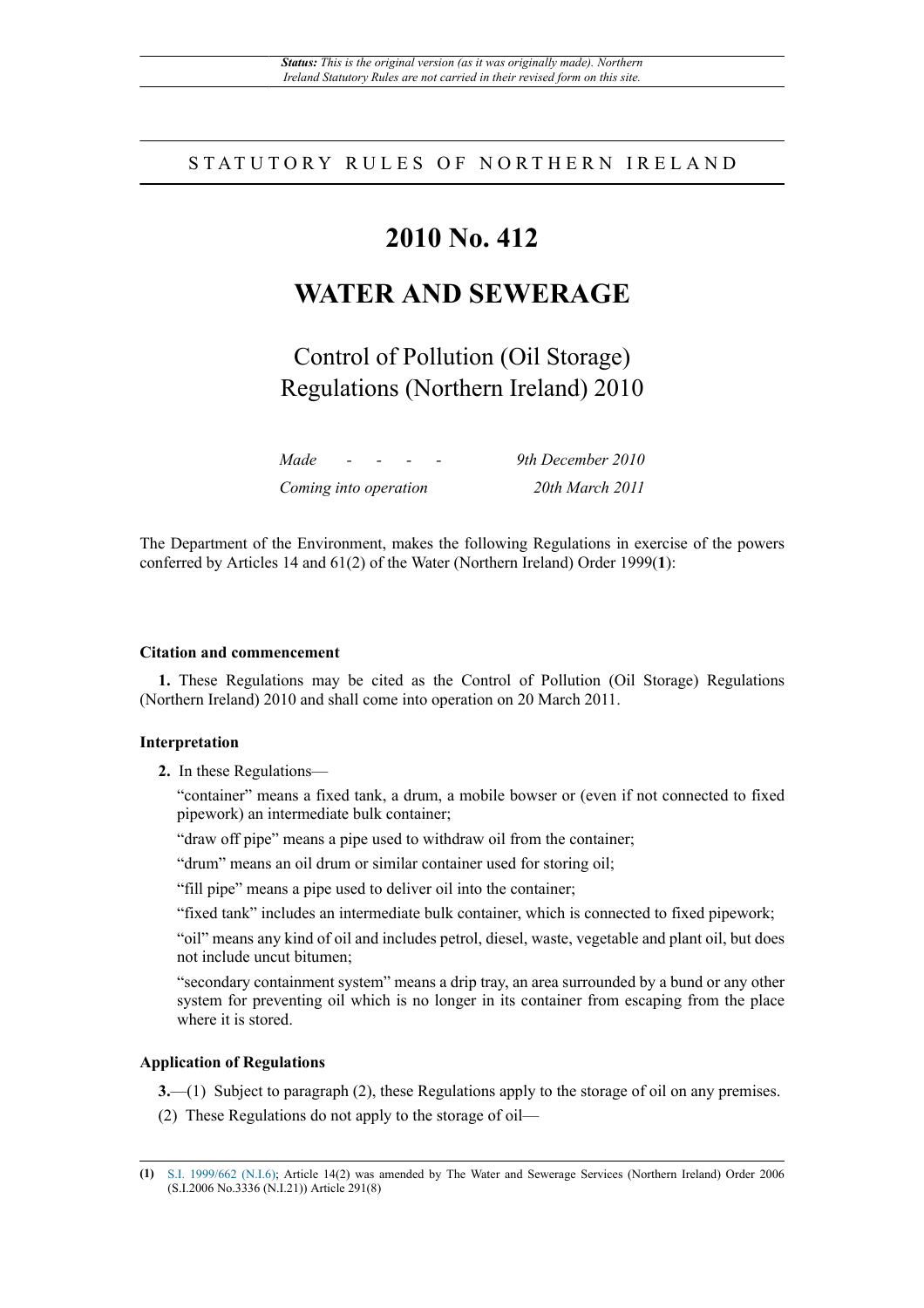# STATUTORY RULES OF NORTHERN IRELAND

# **2010 No. 412**

# **WATER AND SEWERAGE**

Control of Pollution (Oil Storage) Regulations (Northern Ireland) 2010

*Made - - - - 9th December 2010 Coming into operation 20th March 2011*

The Department of the Environment, makes the following Regulations in exercise of the powers conferred by Articles 14 and 61(2) of the Water (Northern Ireland) Order 1999(**1**):

### **Citation and commencement**

**1.** These Regulations may be cited as the Control of Pollution (Oil Storage) Regulations (Northern Ireland) 2010 and shall come into operation on 20 March 2011.

## **Interpretation**

**2.** In these Regulations—

"container" means a fixed tank, a drum, a mobile bowser or (even if not connected to fixed pipework) an intermediate bulk container;

"draw off pipe" means a pipe used to withdraw oil from the container;

"drum" means an oil drum or similar container used for storing oil;

"fill pipe" means a pipe used to deliver oil into the container;

"fixed tank" includes an intermediate bulk container, which is connected to fixed pipework;

"oil" means any kind of oil and includes petrol, diesel, waste, vegetable and plant oil, but does not include uncut bitumen;

"secondary containment system" means a drip tray, an area surrounded by a bund or any other system for preventing oil which is no longer in its container from escaping from the place where it is stored.

### **Application of Regulations**

**3.**—(1) Subject to paragraph (2), these Regulations apply to the storage of oil on any premises.

(2) These Regulations do not apply to the storage of oil—

**<sup>(1)</sup>** [S.I. 1999/662 \(N.I.6\)](http://www.legislation.gov.uk/id/uksi/1999/662); Article 14(2) was amended by The Water and Sewerage Services (Northern Ireland) Order 2006 (S.I.2006 No.3336 (N.I.21)) Article 291(8)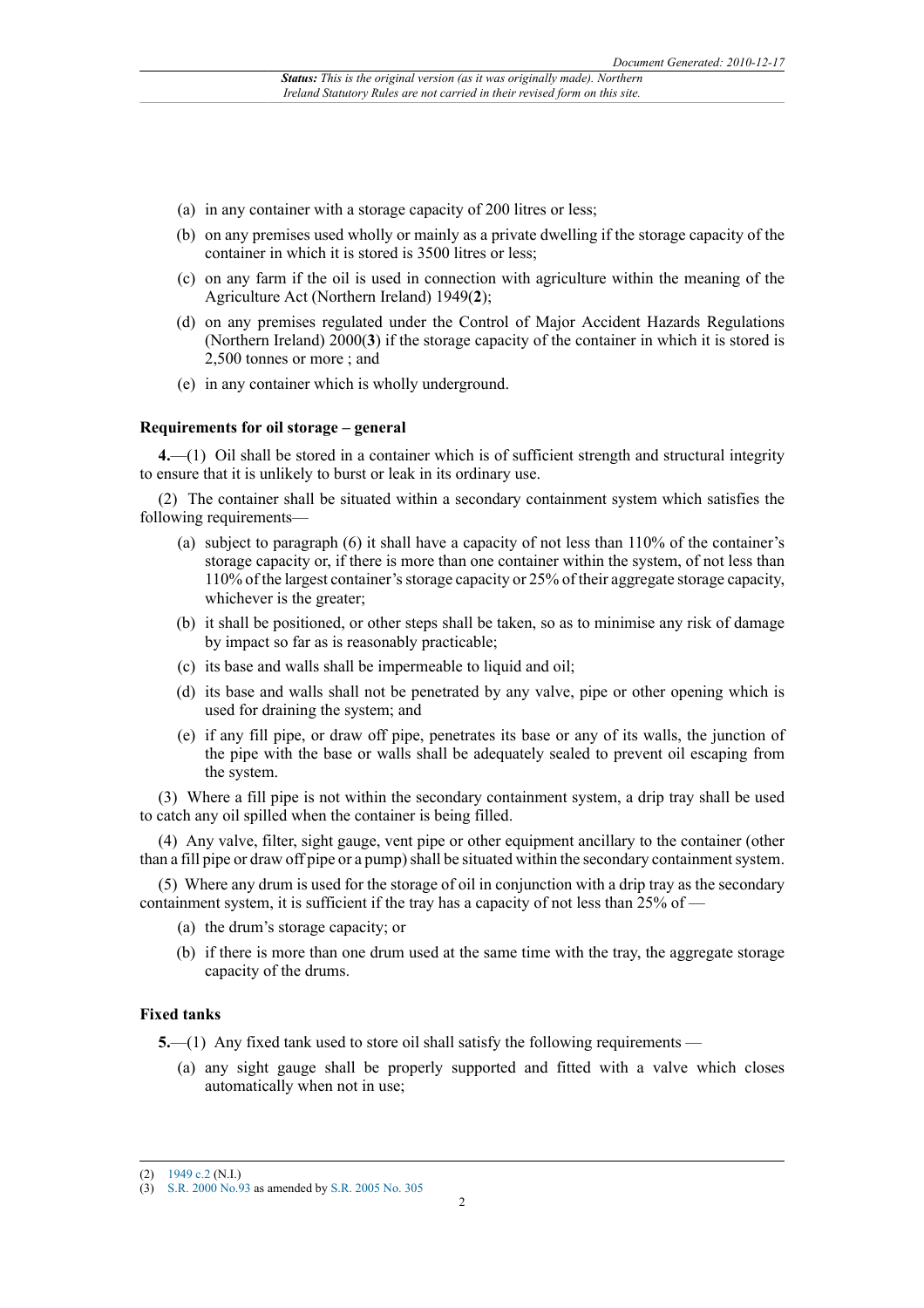- (a) in any container with a storage capacity of 200 litres or less;
- (b) on any premises used wholly or mainly as a private dwelling if the storage capacity of the container in which it is stored is 3500 litres or less;
- (c) on any farm if the oil is used in connection with agriculture within the meaning of the Agriculture Act (Northern Ireland) 1949(**2**);
- (d) on any premises regulated under the Control of Major Accident Hazards Regulations (Northern Ireland) 2000(**3**) if the storage capacity of the container in which it is stored is 2,500 tonnes or more ; and
- (e) in any container which is wholly underground.

#### **Requirements for oil storage – general**

**4.**—(1) Oil shall be stored in a container which is of sufficient strength and structural integrity to ensure that it is unlikely to burst or leak in its ordinary use.

(2) The container shall be situated within a secondary containment system which satisfies the following requirements—

- (a) subject to paragraph (6) it shall have a capacity of not less than 110% of the container's storage capacity or, if there is more than one container within the system, of not less than 110% of the largest container's storage capacity or 25% of their aggregate storage capacity, whichever is the greater;
- (b) it shall be positioned, or other steps shall be taken, so as to minimise any risk of damage by impact so far as is reasonably practicable;
- (c) its base and walls shall be impermeable to liquid and oil;
- (d) its base and walls shall not be penetrated by any valve, pipe or other opening which is used for draining the system; and
- (e) if any fill pipe, or draw off pipe, penetrates its base or any of its walls, the junction of the pipe with the base or walls shall be adequately sealed to prevent oil escaping from the system.

(3) Where a fill pipe is not within the secondary containment system, a drip tray shall be used to catch any oil spilled when the container is being filled.

(4) Any valve, filter, sight gauge, vent pipe or other equipment ancillary to the container (other than a fill pipe or draw off pipe or a pump) shall be situated within the secondary containment system.

(5) Where any drum is used for the storage of oil in conjunction with a drip tray as the secondary containment system, it is sufficient if the tray has a capacity of not less than 25% of —

- (a) the drum's storage capacity; or
- (b) if there is more than one drum used at the same time with the tray, the aggregate storage capacity of the drums.

## **Fixed tanks**

**5.**—(1) Any fixed tank used to store oil shall satisfy the following requirements —

(a) any sight gauge shall be properly supported and fitted with a valve which closes automatically when not in use;

<sup>(2)</sup> [1949 c.2](http://www.legislation.gov.uk/id/ukpga/1949/2) (N.I.)

<sup>(3)</sup> [S.R. 2000 No.93](http://www.legislation.gov.uk/id/nisr/2000/93) as amended by [S.R. 2005 No. 305](http://www.legislation.gov.uk/id/nisr/2005/305)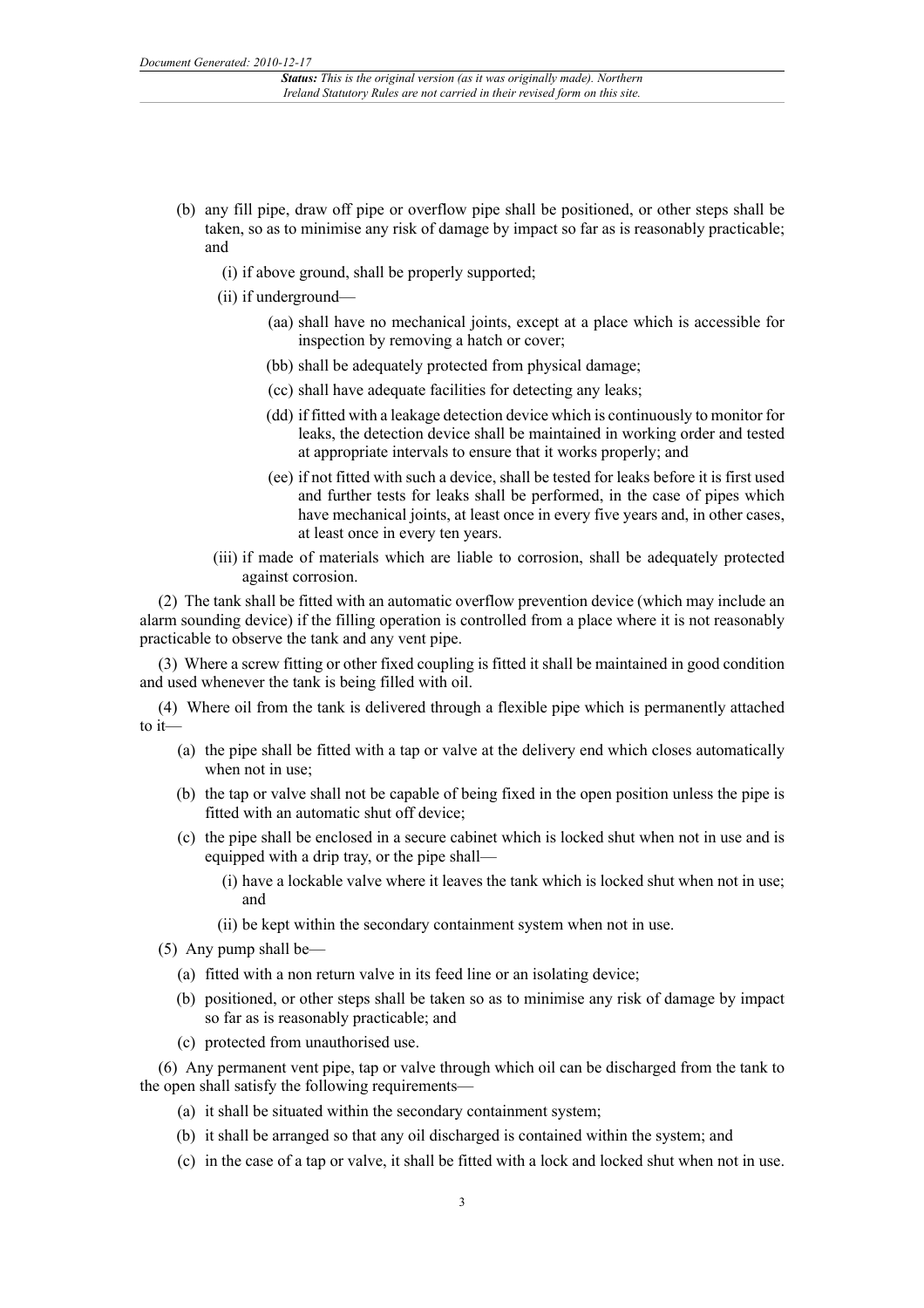- (b) any fill pipe, draw off pipe or overflow pipe shall be positioned, or other steps shall be taken, so as to minimise any risk of damage by impact so far as is reasonably practicable; and
	- (i) if above ground, shall be properly supported;
	- (ii) if underground—
		- (aa) shall have no mechanical joints, except at a place which is accessible for inspection by removing a hatch or cover;
		- (bb) shall be adequately protected from physical damage;
		- (cc) shall have adequate facilities for detecting any leaks;
		- (dd) if fitted with a leakage detection device which is continuously to monitor for leaks, the detection device shall be maintained in working order and tested at appropriate intervals to ensure that it works properly; and
		- (ee) if not fitted with such a device, shall be tested for leaks before it is first used and further tests for leaks shall be performed, in the case of pipes which have mechanical joints, at least once in every five years and, in other cases, at least once in every ten years.
	- (iii) if made of materials which are liable to corrosion, shall be adequately protected against corrosion.

(2) The tank shall be fitted with an automatic overflow prevention device (which may include an alarm sounding device) if the filling operation is controlled from a place where it is not reasonably practicable to observe the tank and any vent pipe.

(3) Where a screw fitting or other fixed coupling is fitted it shall be maintained in good condition and used whenever the tank is being filled with oil.

(4) Where oil from the tank is delivered through a flexible pipe which is permanently attached to it—

- (a) the pipe shall be fitted with a tap or valve at the delivery end which closes automatically when not in use;
- (b) the tap or valve shall not be capable of being fixed in the open position unless the pipe is fitted with an automatic shut off device;
- (c) the pipe shall be enclosed in a secure cabinet which is locked shut when not in use and is equipped with a drip tray, or the pipe shall—
	- (i) have a lockable valve where it leaves the tank which is locked shut when not in use; and
	- (ii) be kept within the secondary containment system when not in use.
- (5) Any pump shall be—
	- (a) fitted with a non return valve in its feed line or an isolating device;
	- (b) positioned, or other steps shall be taken so as to minimise any risk of damage by impact so far as is reasonably practicable; and
	- (c) protected from unauthorised use.

(6) Any permanent vent pipe, tap or valve through which oil can be discharged from the tank to the open shall satisfy the following requirements—

- (a) it shall be situated within the secondary containment system;
- (b) it shall be arranged so that any oil discharged is contained within the system; and
- (c) in the case of a tap or valve, it shall be fitted with a lock and locked shut when not in use.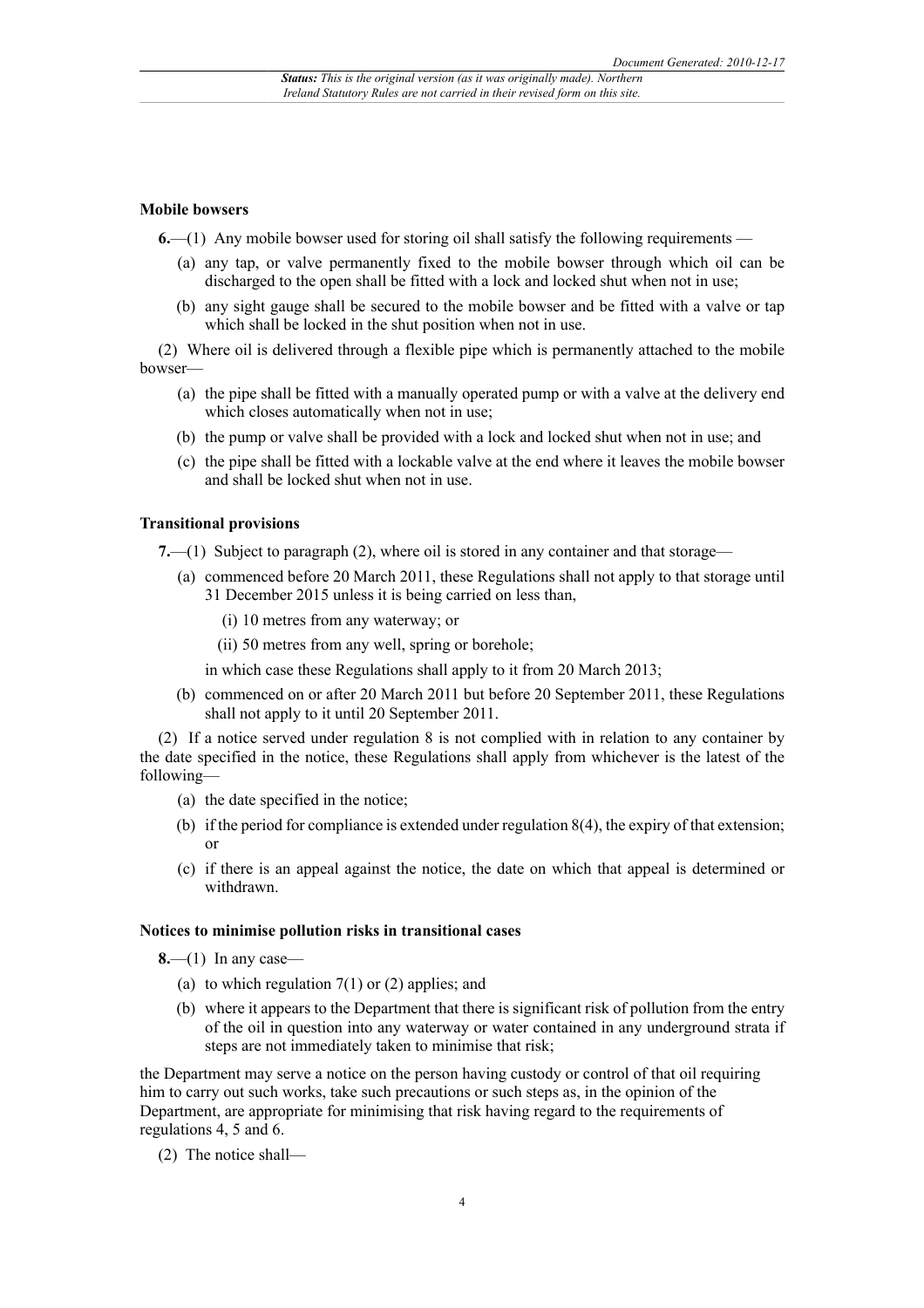#### **Mobile bowsers**

**6.**—(1) Any mobile bowser used for storing oil shall satisfy the following requirements —

- (a) any tap, or valve permanently fixed to the mobile bowser through which oil can be discharged to the open shall be fitted with a lock and locked shut when not in use;
- (b) any sight gauge shall be secured to the mobile bowser and be fitted with a valve or tap which shall be locked in the shut position when not in use.

(2) Where oil is delivered through a flexible pipe which is permanently attached to the mobile bowser—

- (a) the pipe shall be fitted with a manually operated pump or with a valve at the delivery end which closes automatically when not in use;
- (b) the pump or valve shall be provided with a lock and locked shut when not in use; and
- (c) the pipe shall be fitted with a lockable valve at the end where it leaves the mobile bowser and shall be locked shut when not in use.

#### **Transitional provisions**

**7.**—(1) Subject to paragraph (2), where oil is stored in any container and that storage—

- (a) commenced before 20 March 2011, these Regulations shall not apply to that storage until 31 December 2015 unless it is being carried on less than,
	- (i) 10 metres from any waterway; or
	- (ii) 50 metres from any well, spring or borehole;
	- in which case these Regulations shall apply to it from 20 March 2013;
- (b) commenced on or after 20 March 2011 but before 20 September 2011, these Regulations shall not apply to it until 20 September 2011.

(2) If a notice served under regulation 8 is not complied with in relation to any container by the date specified in the notice, these Regulations shall apply from whichever is the latest of the following—

- (a) the date specified in the notice;
- (b) if the period for compliance is extended under regulation 8(4), the expiry of that extension; or
- (c) if there is an appeal against the notice, the date on which that appeal is determined or withdrawn.

#### **Notices to minimise pollution risks in transitional cases**

**8.**—(1) In any case—

- (a) to which regulation  $7(1)$  or  $(2)$  applies; and
- (b) where it appears to the Department that there is significant risk of pollution from the entry of the oil in question into any waterway or water contained in any underground strata if steps are not immediately taken to minimise that risk;

the Department may serve a notice on the person having custody or control of that oil requiring him to carry out such works, take such precautions or such steps as, in the opinion of the Department, are appropriate for minimising that risk having regard to the requirements of regulations 4, 5 and 6.

(2) The notice shall—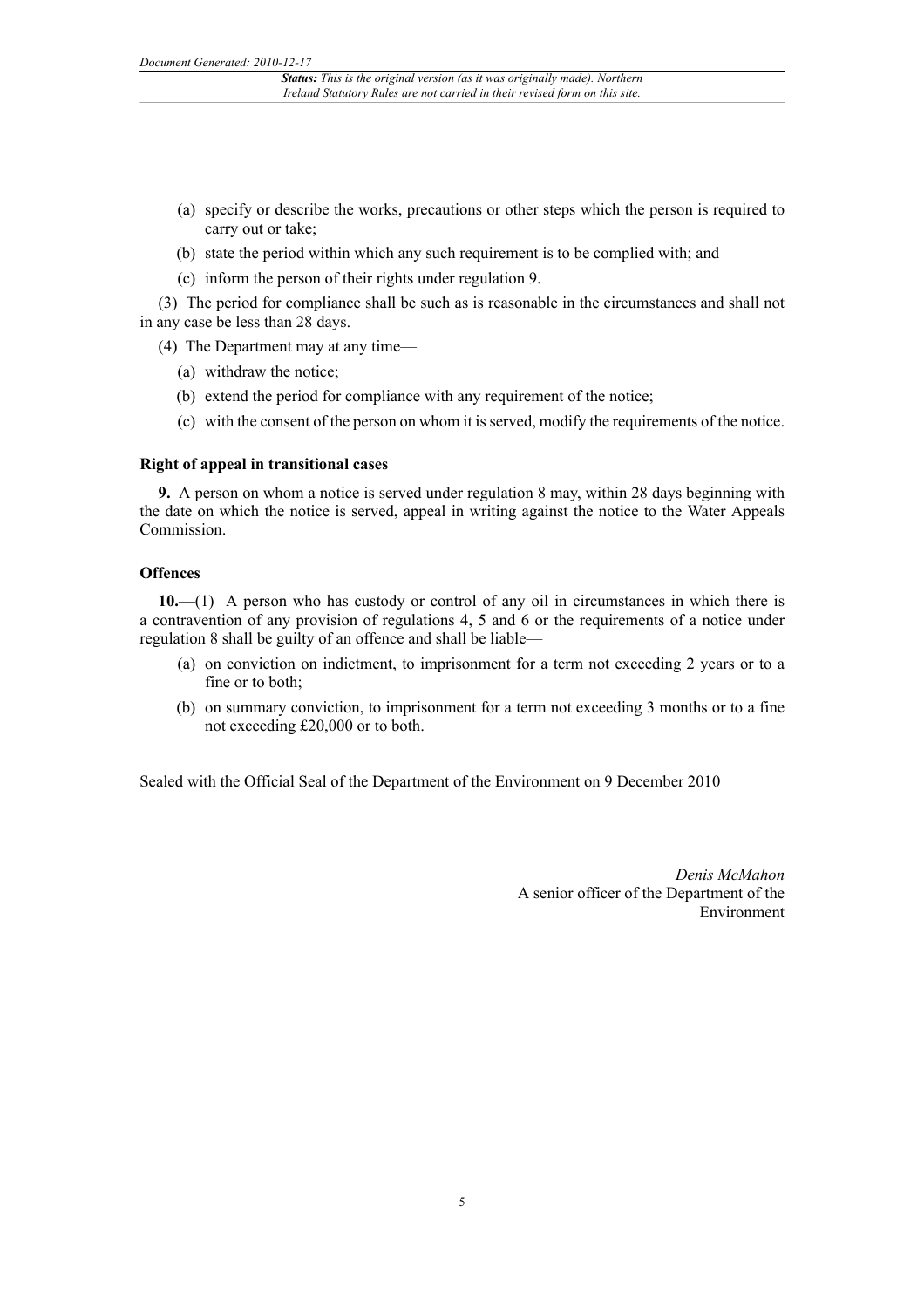- (a) specify or describe the works, precautions or other steps which the person is required to carry out or take;
- (b) state the period within which any such requirement is to be complied with; and
- (c) inform the person of their rights under regulation 9.
- (3) The period for compliance shall be such as is reasonable in the circumstances and shall not in any case be less than 28 days.
	- (4) The Department may at any time—
		- (a) withdraw the notice;
		- (b) extend the period for compliance with any requirement of the notice;
		- (c) with the consent of the person on whom it is served, modify the requirements of the notice.

#### **Right of appeal in transitional cases**

**9.** A person on whom a notice is served under regulation 8 may, within 28 days beginning with the date on which the notice is served, appeal in writing against the notice to the Water Appeals Commission.

# **Offences**

**10.**—(1) A person who has custody or control of any oil in circumstances in which there is a contravention of any provision of regulations 4, 5 and 6 or the requirements of a notice under regulation 8 shall be guilty of an offence and shall be liable—

- (a) on conviction on indictment, to imprisonment for a term not exceeding 2 years or to a fine or to both;
- (b) on summary conviction, to imprisonment for a term not exceeding 3 months or to a fine not exceeding £20,000 or to both.

Sealed with the Official Seal of the Department of the Environment on 9 December 2010

*Denis McMahon* A senior officer of the Department of the Environment